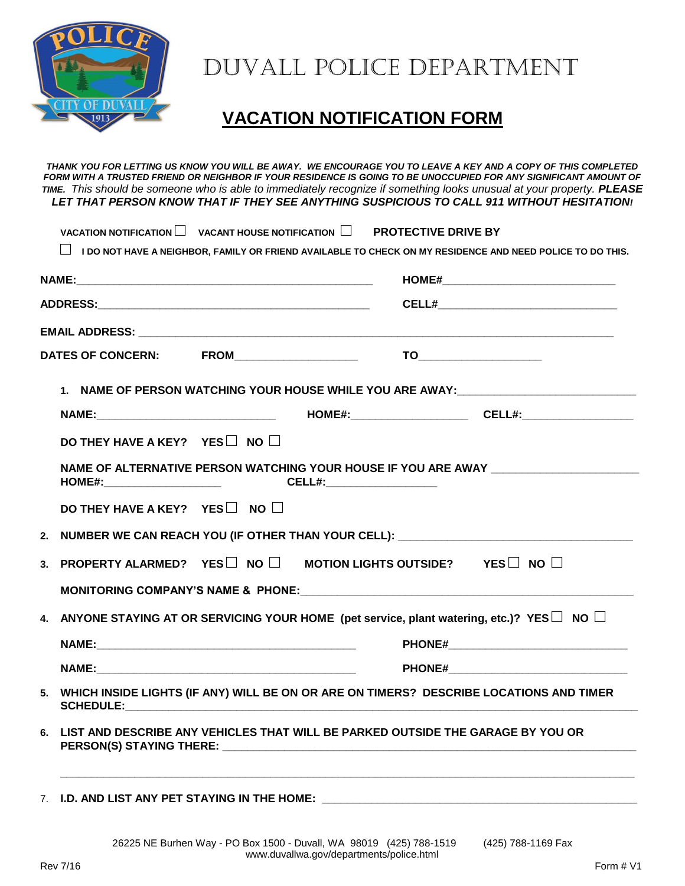

## Duvall Police Department

## **VACATION NOTIFICATION FORM**

*THANK YOU FOR LETTING US KNOW YOU WILL BE AWAY. WE ENCOURAGE YOU TO LEAVE A KEY AND A COPY OF THIS COMPLETED FORM WITH A TRUSTED FRIEND OR NEIGHBOR IF YOUR RESIDENCE IS GOING TO BE UNOCCUPIED FOR ANY SIGNIFICANT AMOUNT OF TIME. This should be someone who is able to immediately recognize if something looks unusual at your property. PLEASE LET THAT PERSON KNOW THAT IF THEY SEE ANYTHING SUSPICIOUS TO CALL 911 WITHOUT HESITATION!* 

|                                                                                                      | <b>CELL#__________________________________</b>                                                                                                      |
|------------------------------------------------------------------------------------------------------|-----------------------------------------------------------------------------------------------------------------------------------------------------|
|                                                                                                      |                                                                                                                                                     |
|                                                                                                      |                                                                                                                                                     |
|                                                                                                      | 1. NAME OF PERSON WATCHING YOUR HOUSE WHILE YOU ARE AWAY: COMPONENTIAL CONTRACT AND THE RESIDENCE OF PERSON WATCHING YOUR HOUSE WHILE YOU ARE AWAY: |
|                                                                                                      | NAME:_________________________________  HOME#:__________________________CELL#:_____________________                                                 |
| DO THEY HAVE A KEY? YES $\square$ NO $\square$                                                       |                                                                                                                                                     |
| HOME#:__________________________     CELL#:_______________________                                   | NAME OF ALTERNATIVE PERSON WATCHING YOUR HOUSE IF YOU ARE AWAY CONTINUES.                                                                           |
| DO THEY HAVE A KEY? YES $\square$ NO $\square$                                                       |                                                                                                                                                     |
| 2. NUMBER WE CAN REACH YOU (IF OTHER THAN YOUR CELL): __________________________                     |                                                                                                                                                     |
| PROPERTY ALARMED? YES $\square$ NO $\square$ MOTION LIGHTS OUTSIDE? YES $\square$ NO $\square$<br>3. |                                                                                                                                                     |
|                                                                                                      | MONITORING COMPANY'S NAME & PHONE: Manual Company of the Second Monitoring Company's NAME & PHONE:                                                  |
|                                                                                                      | 4. ANYONE STAYING AT OR SERVICING YOUR HOME (pet service, plant watering, etc.)? YES $\Box$ NO $\Box$                                               |
|                                                                                                      |                                                                                                                                                     |
|                                                                                                      |                                                                                                                                                     |
| 5.<br><b>SCHEDULE:</b><br><u> 1980 - Jan James Sammer, margaret eta idazleari (h. 1980).</u>         | WHICH INSIDE LIGHTS (IF ANY) WILL BE ON OR ARE ON TIMERS? DESCRIBE LOCATIONS AND TIMER                                                              |
| 6. LIST AND DESCRIBE ANY VEHICLES THAT WILL BE PARKED OUTSIDE THE GARAGE BY YOU OR                   |                                                                                                                                                     |